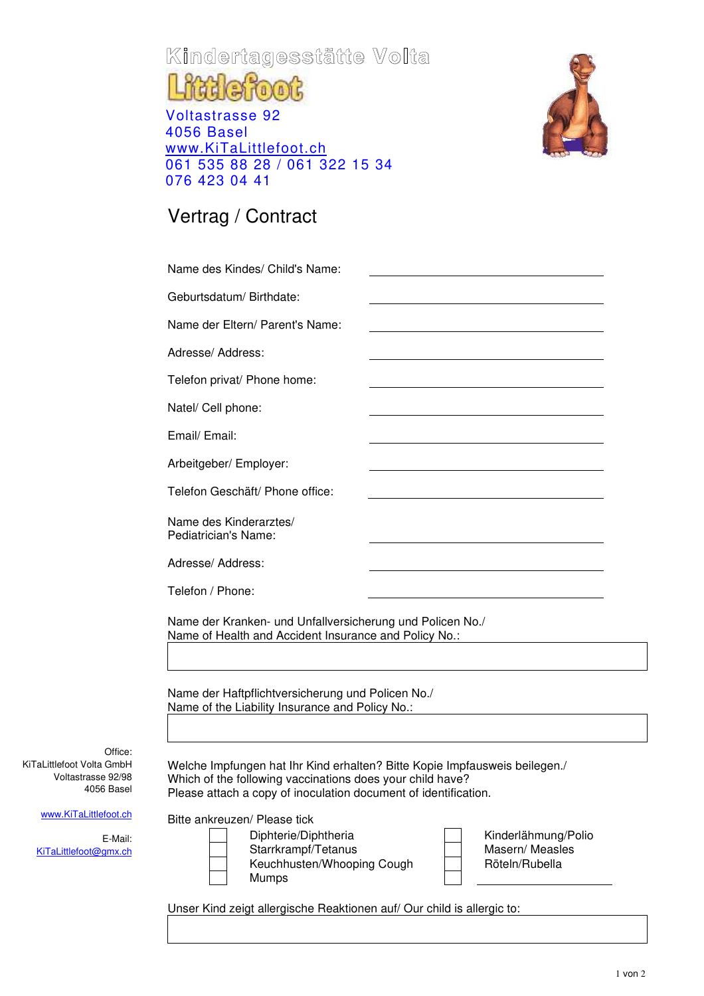## **Kindertagesstätte Volta**

## **fiddefoot** Voltastrasse 92 4056 Basel

www.KiTaLittlefoot.ch 061 535 88 28 / 061 322 15 34 076 423 04 41



## Vertrag / Contract

Office:

E-Mail:

KiTaLittlefoot Volta GmbH Voltastrasse 92/98 4056 Basel

www.KiTaLittlefoot.ch

KiTaLittlefoot@gmx.ch

| Geburtsdatum/Birthdate:                                                                                                                                                                                                                        |                                                                                                                      |
|------------------------------------------------------------------------------------------------------------------------------------------------------------------------------------------------------------------------------------------------|----------------------------------------------------------------------------------------------------------------------|
| Name der Eltern/ Parent's Name:                                                                                                                                                                                                                | <u> 1989 - Johann Stein, marwolaethau a bhann an t-Amhair an t-Amhair an t-Amhair an t-Amhair an t-Amhair an t-A</u> |
| Adresse/ Address:                                                                                                                                                                                                                              |                                                                                                                      |
| Telefon privat/ Phone home:                                                                                                                                                                                                                    |                                                                                                                      |
| Natel/ Cell phone:                                                                                                                                                                                                                             |                                                                                                                      |
| Email/ Email:                                                                                                                                                                                                                                  |                                                                                                                      |
| Arbeitgeber/ Employer:                                                                                                                                                                                                                         |                                                                                                                      |
| Telefon Geschäft/ Phone office:                                                                                                                                                                                                                |                                                                                                                      |
| Name des Kinderarztes/<br>Pediatrician's Name:                                                                                                                                                                                                 |                                                                                                                      |
| Adresse/ Address:                                                                                                                                                                                                                              |                                                                                                                      |
|                                                                                                                                                                                                                                                |                                                                                                                      |
|                                                                                                                                                                                                                                                |                                                                                                                      |
| Telefon / Phone:<br>Name der Kranken- und Unfallversicherung und Policen No./<br>Name of Health and Accident Insurance and Policy No.:<br>Name der Haftpflichtversicherung und Policen No./<br>Name of the Liability Insurance and Policy No.: |                                                                                                                      |

1 von 2